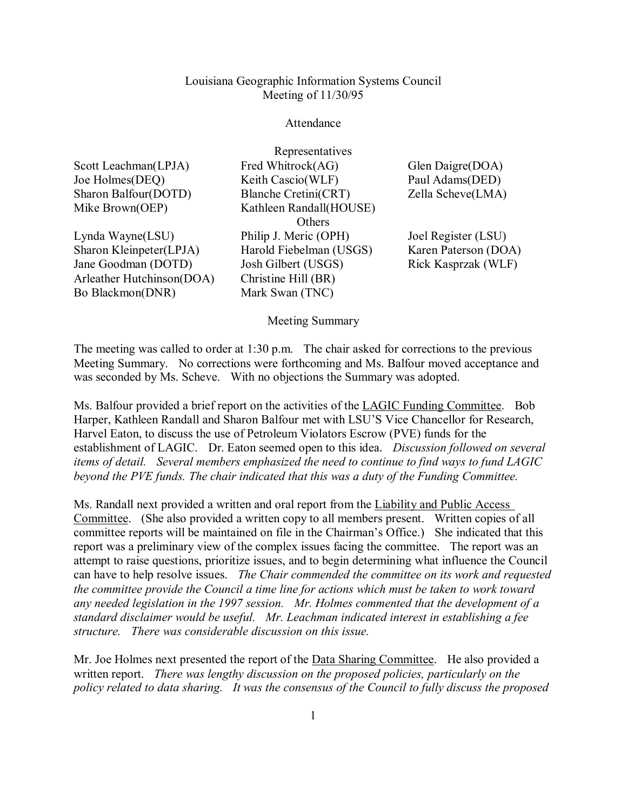## Louisiana Geographic Information Systems Council Meeting of 11/30/95

## Attendance

Representatives

| Scott Leachman(LPJA) |
|----------------------|
| Joe Holmes(DEQ)      |
| Sharon Balfour(DOTD) |
| Mike Brown(OEP)      |

Lynda Wayne(LSU) Sharon Kleinpeter(LPJA) Jane Goodman (DOTD) Arleather Hutchinson(DOA) Bo Blackmon(DNR)

Fred Whitrock(AG) Keith Cascio(WLF) Blanche Cretini(CRT) Kathleen Randall(HOUSE) **Others** Philip J. Meric (OPH) Harold Fiebelman (USGS) Josh Gilbert (USGS) Christine Hill (BR) Mark Swan (TNC)

Glen Daigre(DOA) Paul Adams(DED) Zella Scheve(LMA)

Joel Register (LSU) Karen Paterson (DOA) Rick Kasprzak (WLF)

Meeting Summary

The meeting was called to order at 1:30 p.m. The chair asked for corrections to the previous Meeting Summary. No corrections were forthcoming and Ms. Balfour moved acceptance and was seconded by Ms. Scheve. With no objections the Summary was adopted.

Ms. Balfour provided a brief report on the activities of the LAGIC Funding Committee. Bob Harper, Kathleen Randall and Sharon Balfour met with LSU'S Vice Chancellor for Research, Harvel Eaton, to discuss the use of Petroleum Violators Escrow (PVE) funds for the establishment of LAGIC. Dr. Eaton seemed open to this idea. *Discussion followed on several items of detail. Several members emphasized the need to continue to find ways to fund LAGIC beyond the PVE funds. The chair indicated that this was a duty of the Funding Committee.*

Ms. Randall next provided a written and oral report from the Liability and Public Access Committee. (She also provided a written copy to all members present. Written copies of all committee reports will be maintained on file in the Chairman's Office.) She indicated that this report was a preliminary view of the complex issues facing the committee. The report was an attempt to raise questions, prioritize issues, and to begin determining what influence the Council can have to help resolve issues. *The Chair commended the committee on its work and requested the committee provide the Council a time line for actions which must be taken to work toward any needed legislation in the 1997 session. Mr. Holmes commented that the development of a standard disclaimer would be useful. Mr. Leachman indicated interest in establishing a fee structure. There was considerable discussion on this issue.* 

Mr. Joe Holmes next presented the report of the **Data Sharing Committee**. He also provided a written report. *There was lengthy discussion on the proposed policies, particularly on the policy related to data sharing. It was the consensus of the Council to fully discuss the proposed*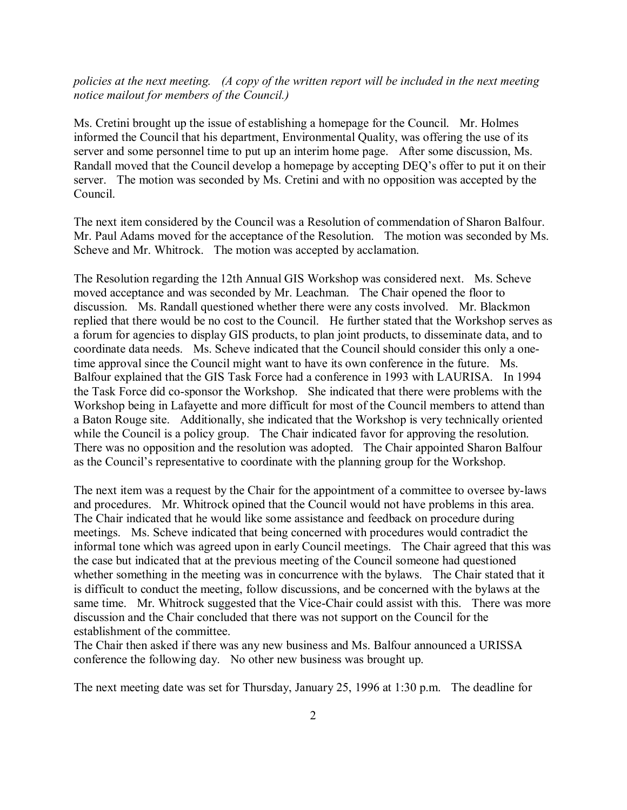## *policies at the next meeting. (A copy of the written report will be included in the next meeting notice mailout for members of the Council.)*

Ms. Cretini brought up the issue of establishing a homepage for the Council. Mr. Holmes informed the Council that his department, Environmental Quality, was offering the use of its server and some personnel time to put up an interim home page. After some discussion, Ms. Randall moved that the Council develop a homepage by accepting DEQ's offer to put it on their server. The motion was seconded by Ms. Cretini and with no opposition was accepted by the Council.

The next item considered by the Council was a Resolution of commendation of Sharon Balfour. Mr. Paul Adams moved for the acceptance of the Resolution. The motion was seconded by Ms. Scheve and Mr. Whitrock. The motion was accepted by acclamation.

The Resolution regarding the 12th Annual GIS Workshop was considered next. Ms. Scheve moved acceptance and was seconded by Mr. Leachman. The Chair opened the floor to discussion. Ms. Randall questioned whether there were any costs involved. Mr. Blackmon replied that there would be no cost to the Council. He further stated that the Workshop serves as a forum for agencies to display GIS products, to plan joint products, to disseminate data, and to coordinate data needs. Ms. Scheve indicated that the Council should consider this only a onetime approval since the Council might want to have its own conference in the future. Ms. Balfour explained that the GIS Task Force had a conference in 1993 with LAURISA. In 1994 the Task Force did co-sponsor the Workshop. She indicated that there were problems with the Workshop being in Lafayette and more difficult for most of the Council members to attend than a Baton Rouge site. Additionally, she indicated that the Workshop is very technically oriented while the Council is a policy group. The Chair indicated favor for approving the resolution. There was no opposition and the resolution was adopted. The Chair appointed Sharon Balfour as the Council's representative to coordinate with the planning group for the Workshop.

The next item was a request by the Chair for the appointment of a committee to oversee by-laws and procedures. Mr. Whitrock opined that the Council would not have problems in this area. The Chair indicated that he would like some assistance and feedback on procedure during meetings. Ms. Scheve indicated that being concerned with procedures would contradict the informal tone which was agreed upon in early Council meetings. The Chair agreed that this was the case but indicated that at the previous meeting of the Council someone had questioned whether something in the meeting was in concurrence with the bylaws. The Chair stated that it is difficult to conduct the meeting, follow discussions, and be concerned with the bylaws at the same time. Mr. Whitrock suggested that the Vice-Chair could assist with this. There was more discussion and the Chair concluded that there was not support on the Council for the establishment of the committee.

The Chair then asked if there was any new business and Ms. Balfour announced a URISSA conference the following day. No other new business was brought up.

The next meeting date was set for Thursday, January 25, 1996 at 1:30 p.m. The deadline for